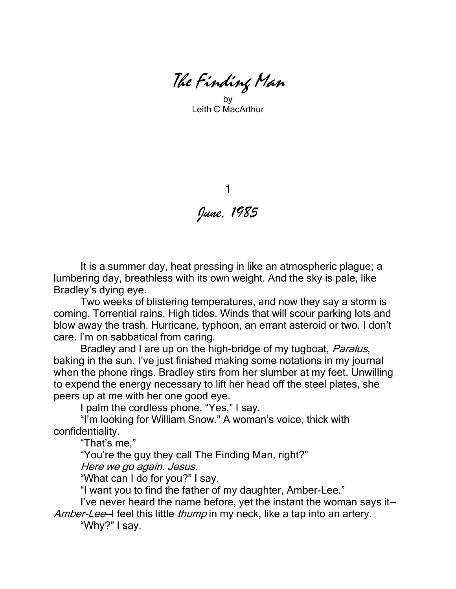The Finding Man

by Leith C MacArthur

1 *June, 1985*

It is a summer day, heat pressing in like an atmospheric plague; a lumbering day, breathless with its own weight. And the sky is pale, like Bradley's dying eye.

Two weeks of blistering temperatures, and now they say a storm is coming. Torrential rains. High tides. Winds that will scour parking lots and blow away the trash. Hurricane, typhoon, an errant asteroid or two. I don't care. I'm on sabbatical from caring.

Bradley and I are up on the high-bridge of my tugboat, *Paralus*, baking in the sun. I've just finished making some notations in my journal when the phone rings. Bradley stirs from her slumber at my feet. Unwilling to expend the energy necessary to lift her head off the steel plates, she peers up at me with her one good eye.

I palm the cordless phone. "Yes," I say.

"I'm looking for William Snow." A woman's voice, thick with confidentiality.

"That's me,"

"You're the guy they call The Finding Man, right?"

Here we go again. Jesus.

"What can I do for you?" I say.

"I want you to find the father of my daughter, Amber-Lee."

I've never heard the name before, yet the instant the woman says it— Amber-Lee-I feel this little thump in my neck, like a tap into an artery.

"Why?" I say.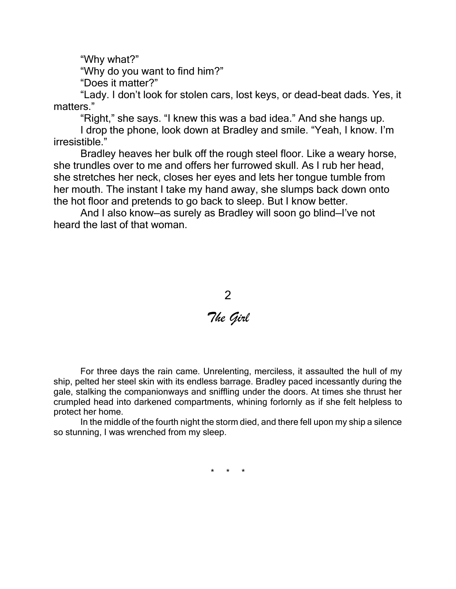"Why what?"

"Why do you want to find him?"

"Does it matter?"

"Lady. I don't look for stolen cars, lost keys, or dead-beat dads. Yes, it matters."

"Right," she says. "I knew this was a bad idea." And she hangs up.

I drop the phone, look down at Bradley and smile. "Yeah, I know. I'm irresistible."

Bradley heaves her bulk off the rough steel floor. Like a weary horse, she trundles over to me and offers her furrowed skull. As I rub her head, she stretches her neck, closes her eyes and lets her tongue tumble from her mouth. The instant I take my hand away, she slumps back down onto the hot floor and pretends to go back to sleep. But I know better.

And I also know—as surely as Bradley will soon go blind—I've not heard the last of that woman.



For three days the rain came. Unrelenting, merciless, it assaulted the hull of my ship, pelted her steel skin with its endless barrage. Bradley paced incessantly during the gale, stalking the companionways and sniffling under the doors. At times she thrust her crumpled head into darkened compartments, whining forlornly as if she felt helpless to protect her home.

In the middle of the fourth night the storm died, and there fell upon my ship a silence so stunning, I was wrenched from my sleep.

\* \* \*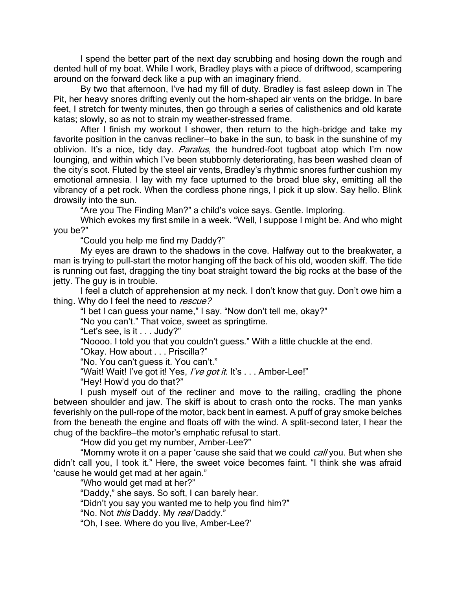I spend the better part of the next day scrubbing and hosing down the rough and dented hull of my boat. While I work, Bradley plays with a piece of driftwood, scampering around on the forward deck like a pup with an imaginary friend.

By two that afternoon, I've had my fill of duty. Bradley is fast asleep down in The Pit, her heavy snores drifting evenly out the horn-shaped air vents on the bridge. In bare feet, I stretch for twenty minutes, then go through a series of calisthenics and old karate katas; slowly, so as not to strain my weather-stressed frame.

After I finish my workout I shower, then return to the high-bridge and take my favorite position in the canvas recliner—to bake in the sun, to bask in the sunshine of my oblivion. It's a nice, tidy day. Paralus, the hundred-foot tugboat atop which I'm now lounging, and within which I've been stubbornly deteriorating, has been washed clean of the city's soot. Fluted by the steel air vents, Bradley's rhythmic snores further cushion my emotional amnesia. I lay with my face upturned to the broad blue sky, emitting all the vibrancy of a pet rock. When the cordless phone rings, I pick it up slow. Say hello. Blink drowsily into the sun.

"Are you The Finding Man?" a child's voice says. Gentle. Imploring.

Which evokes my first smile in a week. "Well, I suppose I might be. And who might you be?"

"Could you help me find my Daddy?"

My eyes are drawn to the shadows in the cove. Halfway out to the breakwater, a man is trying to pull-start the motor hanging off the back of his old, wooden skiff. The tide is running out fast, dragging the tiny boat straight toward the big rocks at the base of the jetty. The guy is in trouble.

I feel a clutch of apprehension at my neck. I don't know that guy. Don't owe him a thing. Why do I feel the need to rescue?

"I bet I can guess your name," I say. "Now don't tell me, okay?"

"No you can't." That voice, sweet as springtime.

"Let's see, is it . . . Judy?"

"Noooo. I told you that you couldn't guess." With a little chuckle at the end.

"Okay. How about . . . Priscilla?"

"No. You can't guess it. You can't."

"Wait! Wait! I've got it! Yes, I've got it. It's . . . Amber-Lee!"

"Hey! How'd you do that?"

I push myself out of the recliner and move to the railing, cradling the phone between shoulder and jaw. The skiff is about to crash onto the rocks. The man yanks feverishly on the pull-rope of the motor, back bent in earnest. A puff of gray smoke belches from the beneath the engine and floats off with the wind. A split-second later, I hear the chug of the backfire—the motor's emphatic refusal to start.

"How did you get my number, Amber-Lee?"

"Mommy wrote it on a paper 'cause she said that we could *call* you. But when she didn't call you, I took it." Here, the sweet voice becomes faint. "I think she was afraid 'cause he would get mad at her again."

"Who would get mad at her?"

"Daddy," she says. So soft, I can barely hear.

"Didn't you say you wanted me to help you find him?"

"No. Not this Daddy. My real Daddy."

"Oh, I see. Where do you live, Amber-Lee?'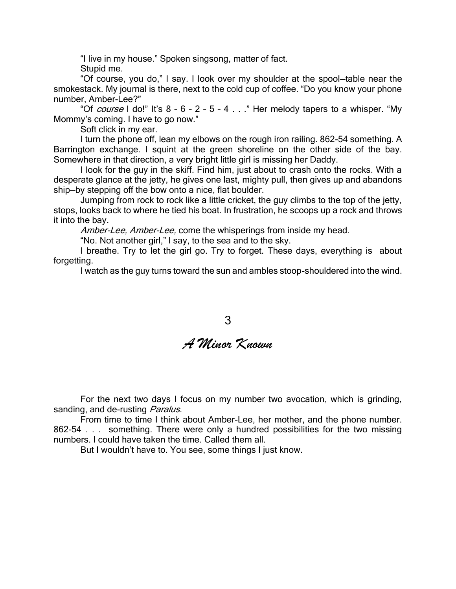"I live in my house." Spoken singsong, matter of fact. Stupid me.

"Of course, you do," I say. I look over my shoulder at the spool—table near the smokestack. My journal is there, next to the cold cup of coffee. "Do you know your phone number, Amber-Lee?"

"Of course I do!" It's  $8 - 6 - 2 - 5 - 4$  . . ." Her melody tapers to a whisper. "My Mommy's coming. I have to go now."

Soft click in my ear.

I turn the phone off, lean my elbows on the rough iron railing. 862-54 something. A Barrington exchange. I squint at the green shoreline on the other side of the bay. Somewhere in that direction, a very bright little girl is missing her Daddy.

I look for the guy in the skiff. Find him, just about to crash onto the rocks. With a desperate glance at the jetty, he gives one last, mighty pull, then gives up and abandons ship—by stepping off the bow onto a nice, flat boulder.

Jumping from rock to rock like a little cricket, the guy climbs to the top of the jetty, stops, looks back to where he tied his boat. In frustration, he scoops up a rock and throws it into the bay.

Amber-Lee, Amber-Lee, come the whisperings from inside my head.

"No. Not another girl," I say, to the sea and to the sky.

I breathe. Try to let the girl go. Try to forget. These days, everything is about forgetting.

I watch as the guy turns toward the sun and ambles stoop-shouldered into the wind.

## 3

## *A Minor Known*

For the next two days I focus on my number two avocation, which is grinding, sanding, and de-rusting Paralus.

From time to time I think about Amber-Lee, her mother, and the phone number. 862-54 . . . something. There were only a hundred possibilities for the two missing numbers. I could have taken the time. Called them all.

But I wouldn't have to. You see, some things I just know.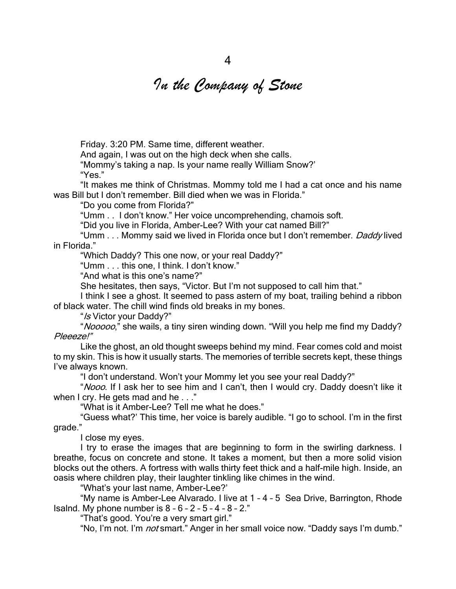## *In the Company of Stone*

Friday. 3:20 PM. Same time, different weather.

And again, I was out on the high deck when she calls.

"Mommy's taking a nap. Is your name really William Snow?'

"Yes."

"It makes me think of Christmas. Mommy told me I had a cat once and his name was Bill but I don't remember. Bill died when we was in Florida."

"Do you come from Florida?"

"Umm . . I don't know." Her voice uncomprehending, chamois soft.

"Did you live in Florida, Amber-Lee? With your cat named Bill?"

"Umm . . . Mommy said we lived in Florida once but I don't remember. Daddy lived in Florida."

"Which Daddy? This one now, or your real Daddy?"

"Umm . . . this one, I think. I don't know."

"And what is this one's name?"

She hesitates, then says, "Victor. But I'm not supposed to call him that."

I think I see a ghost. It seemed to pass astern of my boat, trailing behind a ribbon of black water. The chill wind finds old breaks in my bones.

"Is Victor your Daddy?"

"Nooooo," she wails, a tiny siren winding down. "Will you help me find my Daddy? Pleeeze!"

Like the ghost, an old thought sweeps behind my mind. Fear comes cold and moist to my skin. This is how it usually starts. The memories of terrible secrets kept, these things I've always known.

"I don't understand. Won't your Mommy let you see your real Daddy?"

"Nooo. If I ask her to see him and I can't, then I would cry. Daddy doesn't like it when I cry. He gets mad and he . . ."

"What is it Amber-Lee? Tell me what he does."

"Guess what?' This time, her voice is barely audible. "I go to school. I'm in the first grade."

I close my eyes.

I try to erase the images that are beginning to form in the swirling darkness. I breathe, focus on concrete and stone. It takes a moment, but then a more solid vision blocks out the others. A fortress with walls thirty feet thick and a half-mile high. Inside, an oasis where children play, their laughter tinkling like chimes in the wind.

"What's your last name, Amber-Lee?'

"My name is Amber-Lee Alvarado. I live at 1 – 4 – 5 Sea Drive, Barrington, Rhode Isalnd. My phone number is  $8 - 6 - 2 - 5 - 4 - 8 - 2$ ."

"That's good. You're a very smart girl."

"No, I'm not. I'm *not* smart." Anger in her small voice now. "Daddy says I'm dumb."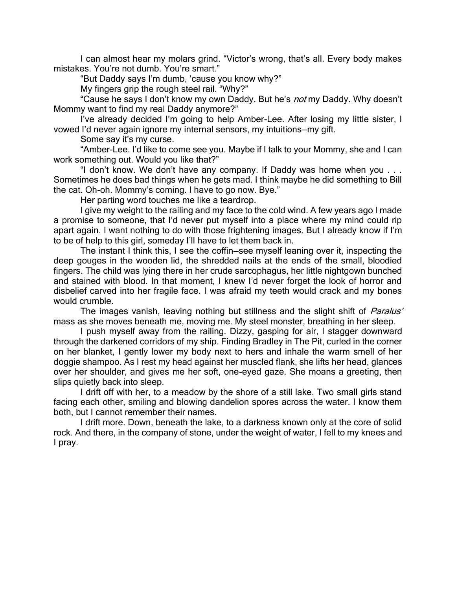I can almost hear my molars grind. "Victor's wrong, that's all. Every body makes mistakes. You're not dumb. You're smart."

"But Daddy says I'm dumb, 'cause you know why?"

My fingers grip the rough steel rail. "Why?"

"Cause he says I don't know my own Daddy. But he's *not* my Daddy. Why doesn't Mommy want to find my real Daddy anymore?"

I've already decided I'm going to help Amber-Lee. After losing my little sister, I vowed I'd never again ignore my internal sensors, my intuitions—my gift.

Some say it's my curse.

"Amber-Lee. I'd like to come see you. Maybe if I talk to your Mommy, she and I can work something out. Would you like that?"

"I don't know. We don't have any company. If Daddy was home when you . . . Sometimes he does bad things when he gets mad. I think maybe he did something to Bill the cat. Oh-oh. Mommy's coming. I have to go now. Bye."

Her parting word touches me like a teardrop.

I give my weight to the railing and my face to the cold wind. A few years ago I made a promise to someone, that I'd never put myself into a place where my mind could rip apart again. I want nothing to do with those frightening images. But I already know if I'm to be of help to this girl, someday I'll have to let them back in.

The instant I think this, I see the coffin—see myself leaning over it, inspecting the deep gouges in the wooden lid, the shredded nails at the ends of the small, bloodied fingers. The child was lying there in her crude sarcophagus, her little nightgown bunched and stained with blood. In that moment, I knew I'd never forget the look of horror and disbelief carved into her fragile face. I was afraid my teeth would crack and my bones would crumble.

The images vanish, leaving nothing but stillness and the slight shift of *Paralus'* mass as she moves beneath me, moving me. My steel monster, breathing in her sleep.

I push myself away from the railing. Dizzy, gasping for air, I stagger downward through the darkened corridors of my ship. Finding Bradley in The Pit, curled in the corner on her blanket, I gently lower my body next to hers and inhale the warm smell of her doggie shampoo. As I rest my head against her muscled flank, she lifts her head, glances over her shoulder, and gives me her soft, one-eyed gaze. She moans a greeting, then slips quietly back into sleep.

I drift off with her, to a meadow by the shore of a still lake. Two small girls stand facing each other, smiling and blowing dandelion spores across the water. I know them both, but I cannot remember their names.

I drift more. Down, beneath the lake, to a darkness known only at the core of solid rock. And there, in the company of stone, under the weight of water, I fell to my knees and I pray.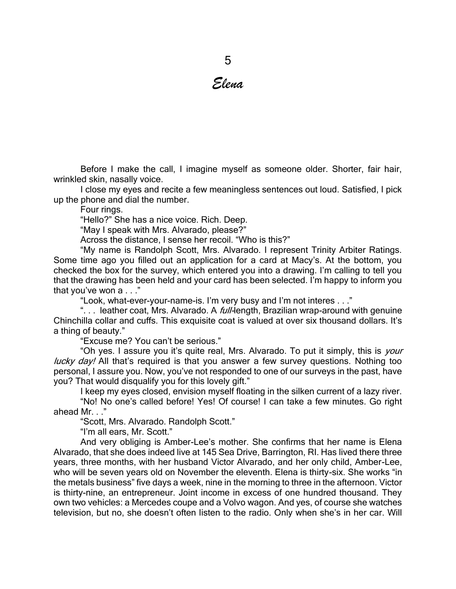## *Elena*

Before I make the call, I imagine myself as someone older. Shorter, fair hair, wrinkled skin, nasally voice.

I close my eyes and recite a few meaningless sentences out loud. Satisfied, I pick up the phone and dial the number.

Four rings.

"Hello?" She has a nice voice. Rich. Deep.

"May I speak with Mrs. Alvarado, please?"

Across the distance, I sense her recoil. "Who is this?"

"My name is Randolph Scott, Mrs. Alvarado. I represent Trinity Arbiter Ratings. Some time ago you filled out an application for a card at Macy's. At the bottom, you checked the box for the survey, which entered you into a drawing. I'm calling to tell you that the drawing has been held and your card has been selected. I'm happy to inform you that you've won a . . ."

"Look, what-ever-your-name-is. I'm very busy and I'm not interes . . ."

"... leather coat, Mrs. Alvarado. A *full-*length, Brazilian wrap-around with genuine Chinchilla collar and cuffs. This exquisite coat is valued at over six thousand dollars. It's a thing of beauty."

"Excuse me? You can't be serious."

"Oh yes. I assure you it's quite real, Mrs. Alvarado. To put it simply, this is *your* lucky day! All that's required is that you answer a few survey questions. Nothing too personal, I assure you. Now, you've not responded to one of our surveys in the past, have you? That would disqualify you for this lovely gift."

I keep my eyes closed, envision myself floating in the silken current of a lazy river.

"No! No one's called before! Yes! Of course! I can take a few minutes. Go right ahead Mr. . ."

"Scott, Mrs. Alvarado. Randolph Scott."

"I'm all ears, Mr. Scott."

And very obliging is Amber-Lee's mother. She confirms that her name is Elena Alvarado, that she does indeed live at 145 Sea Drive, Barrington, RI. Has lived there three years, three months, with her husband Victor Alvarado, and her only child, Amber-Lee, who will be seven years old on November the eleventh. Elena is thirty-six. She works "in the metals business" five days a week, nine in the morning to three in the afternoon. Victor is thirty-nine, an entrepreneur. Joint income in excess of one hundred thousand. They own two vehicles: a Mercedes coupe and a Volvo wagon. And yes, of course she watches television, but no, she doesn't often listen to the radio. Only when she's in her car. Will